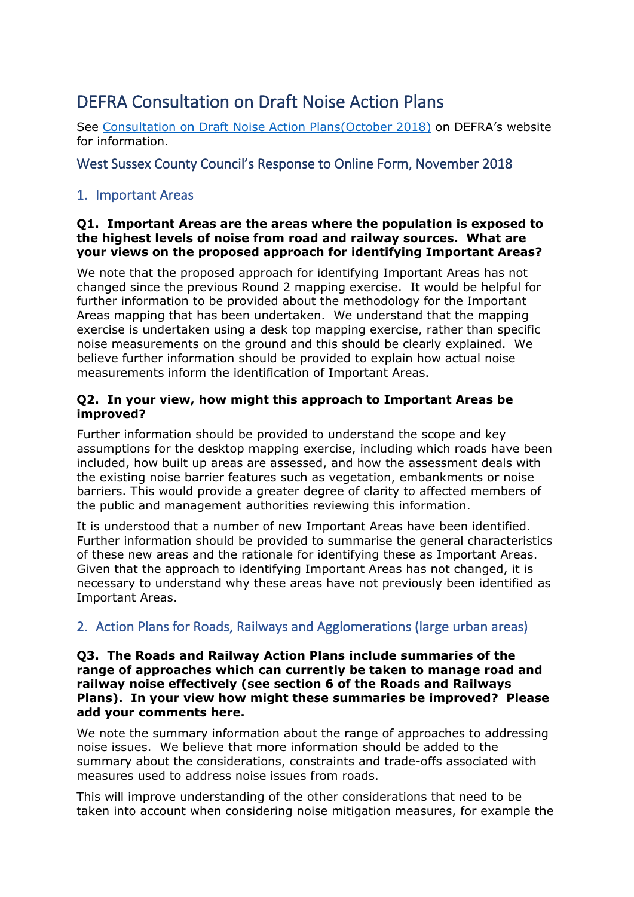# DEFRA Consultation on Draft Noise Action Plans

See [Consultation on Draft Noise Action Plans\(October](https://consult.defra.gov.uk/environmental-quality/noise/) 2018) on DEFRA's website for information.

## West Sussex County Council's Response to Online Form, November 2018

## 1. Important Areas

### **Q1. Important Areas are the areas where the population is exposed to the highest levels of noise from road and railway sources. What are your views on the proposed approach for identifying Important Areas?**

We note that the proposed approach for identifying Important Areas has not changed since the previous Round 2 mapping exercise. It would be helpful for further information to be provided about the methodology for the Important Areas mapping that has been undertaken. We understand that the mapping exercise is undertaken using a desk top mapping exercise, rather than specific noise measurements on the ground and this should be clearly explained. We believe further information should be provided to explain how actual noise measurements inform the identification of Important Areas.

## **Q2. In your view, how might this approach to Important Areas be improved?**

Further information should be provided to understand the scope and key assumptions for the desktop mapping exercise, including which roads have been included, how built up areas are assessed, and how the assessment deals with the existing noise barrier features such as vegetation, embankments or noise barriers. This would provide a greater degree of clarity to affected members of the public and management authorities reviewing this information.

It is understood that a number of new Important Areas have been identified. Further information should be provided to summarise the general characteristics of these new areas and the rationale for identifying these as Important Areas. Given that the approach to identifying Important Areas has not changed, it is necessary to understand why these areas have not previously been identified as Important Areas.

# 2. Action Plans for Roads, Railways and Agglomerations (large urban areas)

**Q3. The Roads and Railway Action Plans include summaries of the range of approaches which can currently be taken to manage road and railway noise effectively (see section 6 of the Roads and Railways Plans). In your view how might these summaries be improved? Please add your comments here.**

We note the summary information about the range of approaches to addressing noise issues. We believe that more information should be added to the summary about the considerations, constraints and trade-offs associated with measures used to address noise issues from roads.

This will improve understanding of the other considerations that need to be taken into account when considering noise mitigation measures, for example the